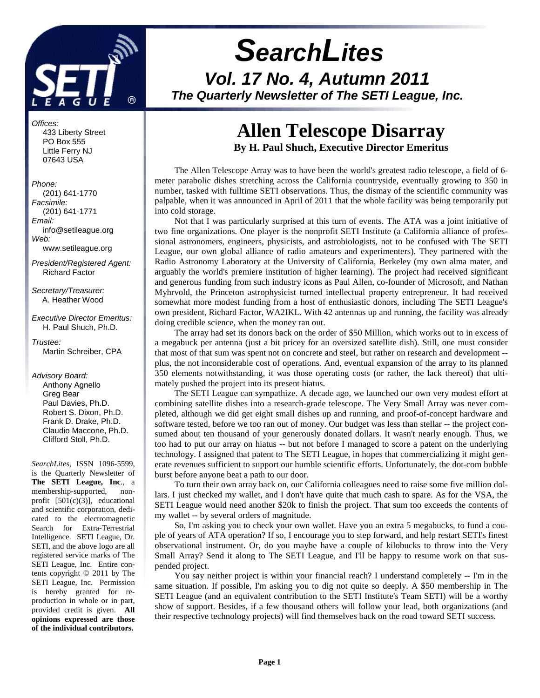

# **SearchLites Vol. 17 No. 4, Autumn 2011 The Quarterly Newsletter of The SETI League, Inc.**

#### Offices:

 433 Liberty Street PO Box 555 Little Ferry NJ 07643 USA

#### Phone:

 (201) 641-1770 Facsimile: (201) 641-1771 Email: info@setileague.org Web: www.setileague.org

President/Registered Agent: Richard Factor

Secretary/Treasurer: A. Heather Wood

Executive Director Emeritus: H. Paul Shuch, Ph.D.

Trustee: Martin Schreiber, CPA

#### Advisory Board:

 Anthony Agnello Greg Bear Paul Davies, Ph.D. Robert S. Dixon, Ph.D. Frank D. Drake, Ph.D. Claudio Maccone, Ph.D. Clifford Stoll, Ph.D.

*SearchLites*, ISSN 1096-5599, is the Quarterly Newsletter of **The SETI League, Inc**., a membership-supported, nonprofit [501(c)(3)], educational and scientific corporation, dedicated to the electromagnetic Search for Extra-Terrestrial Intelligence. SETI League, Dr. SETI, and the above logo are all registered service marks of The SETI League, Inc. Entire contents copyright © 2011 by The SETI League, Inc. Permission is hereby granted for reproduction in whole or in part, provided credit is given. **All opinions expressed are those of the individual contributors.** 

# **Allen Telescope Disarray By H. Paul Shuch, Executive Director Emeritus**

The Allen Telescope Array was to have been the world's greatest radio telescope, a field of 6 meter parabolic dishes stretching across the California countryside, eventually growing to 350 in number, tasked with fulltime SETI observations. Thus, the dismay of the scientific community was palpable, when it was announced in April of 2011 that the whole facility was being temporarily put into cold storage.

Not that I was particularly surprised at this turn of events. The ATA was a joint initiative of two fine organizations. One player is the nonprofit SETI Institute (a California alliance of professional astronomers, engineers, physicists, and astrobiologists, not to be confused with The SETI League, our own global alliance of radio amateurs and experimenters). They partnered with the Radio Astronomy Laboratory at the University of California, Berkeley (my own alma mater, and arguably the world's premiere institution of higher learning). The project had received significant and generous funding from such industry icons as Paul Allen, co-founder of Microsoft, and Nathan Myhrvold, the Princeton astrophysicist turned intellectual property entrepreneur. It had received somewhat more modest funding from a host of enthusiastic donors, including The SETI League's own president, Richard Factor, WA2IKL. With 42 antennas up and running, the facility was already doing credible science, when the money ran out.

The array had set its donors back on the order of \$50 Million, which works out to in excess of a megabuck per antenna (just a bit pricey for an oversized satellite dish). Still, one must consider that most of that sum was spent not on concrete and steel, but rather on research and development - plus, the not inconsiderable cost of operations. And, eventual expansion of the array to its planned 350 elements notwithstanding, it was those operating costs (or rather, the lack thereof) that ultimately pushed the project into its present hiatus.

The SETI League can sympathize. A decade ago, we launched our own very modest effort at combining satellite dishes into a research-grade telescope. The Very Small Array was never completed, although we did get eight small dishes up and running, and proof-of-concept hardware and software tested, before we too ran out of money. Our budget was less than stellar -- the project consumed about ten thousand of your generously donated dollars. It wasn't nearly enough. Thus, we too had to put our array on hiatus -- but not before I managed to score a patent on the underlying technology. I assigned that patent to The SETI League, in hopes that commercializing it might generate revenues sufficient to support our humble scientific efforts. Unfortunately, the dot-com bubble burst before anyone beat a path to our door.

To turn their own array back on, our California colleagues need to raise some five million dollars. I just checked my wallet, and I don't have quite that much cash to spare. As for the VSA, the SETI League would need another \$20k to finish the project. That sum too exceeds the contents of my wallet -- by several orders of magnitude.

So, I'm asking you to check your own wallet. Have you an extra 5 megabucks, to fund a couple of years of ATA operation? If so, I encourage you to step forward, and help restart SETI's finest observational instrument. Or, do you maybe have a couple of kilobucks to throw into the Very Small Array? Send it along to The SETI League, and I'll be happy to resume work on that suspended project.

You say neither project is within your financial reach? I understand completely -- I'm in the same situation. If possible, I'm asking you to dig not quite so deeply. A \$50 membership in The SETI League (and an equivalent contribution to the SETI Institute's Team SETI) will be a worthy show of support. Besides, if a few thousand others will follow your lead, both organizations (and their respective technology projects) will find themselves back on the road toward SETI success.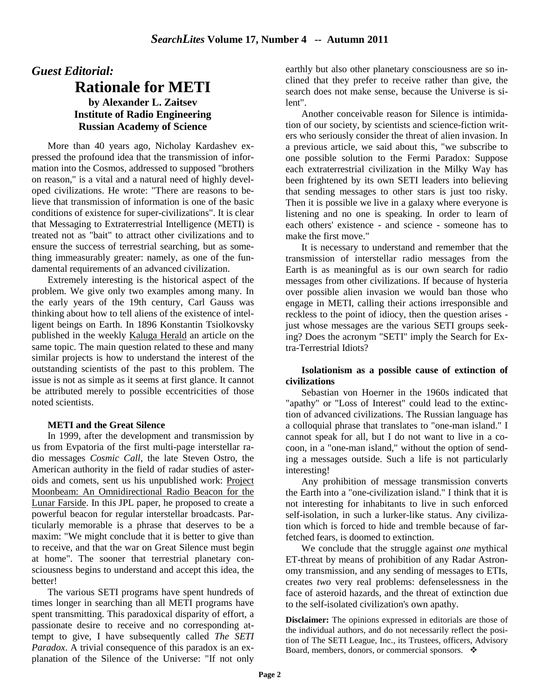### *Guest Editorial:*

### **Rationale for METI by Alexander L. Zaitsev Institute of Radio Engineering Russian Academy of Science**

More than 40 years ago, Nicholay Kardashev expressed the profound idea that the transmission of information into the Cosmos, addressed to supposed "brothers on reason," is a vital and a natural need of highly developed civilizations. He wrote: "There are reasons to believe that transmission of information is one of the basic conditions of existence for super-civilizations". It is clear that Messaging to Extraterrestrial Intelligence (METI) is treated not as "bait" to attract other civilizations and to ensure the success of terrestrial searching, but as something immeasurably greater: namely, as one of the fundamental requirements of an advanced civilization.

Extremely interesting is the historical aspect of the problem. We give only two examples among many. In the early years of the 19th century, Carl Gauss was thinking about how to tell aliens of the existence of intelligent beings on Earth. In 1896 Konstantin Tsiolkovsky published in the weekly Kaluga Herald an article on the same topic. The main question related to these and many similar projects is how to understand the interest of the outstanding scientists of the past to this problem. The issue is not as simple as it seems at first glance. It cannot be attributed merely to possible eccentricities of those noted scientists.

#### **METI and the Great Silence**

In 1999, after the development and transmission by us from Evpatoria of the first multi-page interstellar radio messages *Cosmic Call*, the late Steven Ostro, the American authority in the field of radar studies of asteroids and comets, sent us his unpublished work: Project Moonbeam: An Omnidirectional Radio Beacon for the Lunar Farside. In this JPL paper, he proposed to create a powerful beacon for regular interstellar broadcasts. Particularly memorable is a phrase that deserves to be a maxim: "We might conclude that it is better to give than to receive, and that the war on Great Silence must begin at home". The sooner that terrestrial planetary consciousness begins to understand and accept this idea, the better!

The various SETI programs have spent hundreds of times longer in searching than all METI programs have spent transmitting. This paradoxical disparity of effort, a passionate desire to receive and no corresponding attempt to give, I have subsequently called *The SETI Paradox*. A trivial consequence of this paradox is an explanation of the Silence of the Universe: "If not only

earthly but also other planetary consciousness are so inclined that they prefer to receive rather than give, the search does not make sense, because the Universe is silent".

Another conceivable reason for Silence is intimidation of our society, by scientists and science-fiction writers who seriously consider the threat of alien invasion. In a previous article, we said about this, "we subscribe to one possible solution to the Fermi Paradox: Suppose each extraterrestrial civilization in the Milky Way has been frightened by its own SETI leaders into believing that sending messages to other stars is just too risky. Then it is possible we live in a galaxy where everyone is listening and no one is speaking. In order to learn of each others' existence - and science - someone has to make the first move."

It is necessary to understand and remember that the transmission of interstellar radio messages from the Earth is as meaningful as is our own search for radio messages from other civilizations. If because of hysteria over possible alien invasion we would ban those who engage in METI, calling their actions irresponsible and reckless to the point of idiocy, then the question arises just whose messages are the various SETI groups seeking? Does the acronym "SETI" imply the Search for Extra-Terrestrial Idiots?

#### **Isolationism as a possible cause of extinction of civilizations**

Sebastian von Hoerner in the 1960s indicated that "apathy" or "Loss of Interest" could lead to the extinction of advanced civilizations. The Russian language has a colloquial phrase that translates to "one-man island." I cannot speak for all, but I do not want to live in a cocoon, in a "one-man island," without the option of sending a messages outside. Such a life is not particularly interesting!

Any prohibition of message transmission converts the Earth into a "one-civilization island." I think that it is not interesting for inhabitants to live in such enforced self-isolation, in such a lurker-like status. Any civilization which is forced to hide and tremble because of farfetched fears, is doomed to extinction.

We conclude that the struggle against *one* mythical ET-threat by means of prohibition of any Radar Astronomy transmission, and any sending of messages to ETIs, creates *two* very real problems: defenselessness in the face of asteroid hazards, and the threat of extinction due to the self-isolated civilization's own apathy.

**Disclaimer:** The opinions expressed in editorials are those of the individual authors, and do not necessarily reflect the position of The SETI League, Inc., its Trustees, officers, Advisory Board, members, donors, or commercial sponsors.  $\cdot$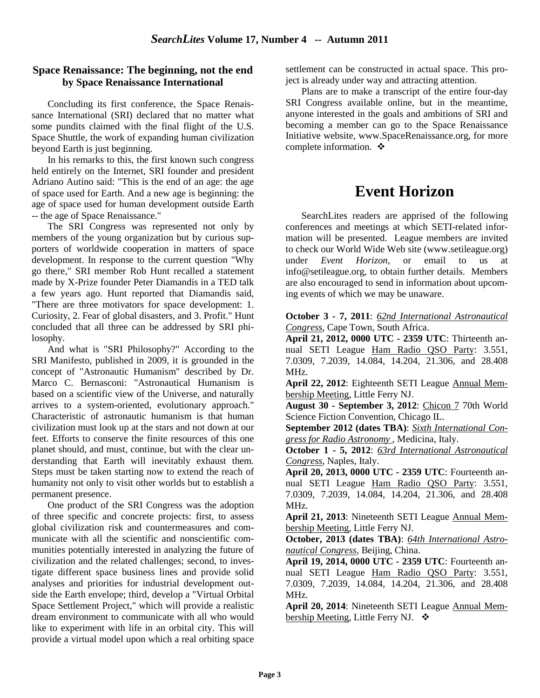### **Space Renaissance: The beginning, not the end by Space Renaissance International**

Concluding its first conference, the Space Renaissance International (SRI) declared that no matter what some pundits claimed with the final flight of the U.S. Space Shuttle, the work of expanding human civilization beyond Earth is just beginning.

In his remarks to this, the first known such congress held entirely on the Internet, SRI founder and president Adriano Autino said: "This is the end of an age: the age of space used for Earth. And a new age is beginning: the age of space used for human development outside Earth -- the age of Space Renaissance."

The SRI Congress was represented not only by members of the young organization but by curious supporters of worldwide cooperation in matters of space development. In response to the current question "Why go there," SRI member Rob Hunt recalled a statement made by X-Prize founder Peter Diamandis in a TED talk a few years ago. Hunt reported that Diamandis said, "There are three motivators for space development: 1. Curiosity, 2. Fear of global disasters, and 3. Profit." Hunt concluded that all three can be addressed by SRI philosophy.

And what is "SRI Philosophy?" According to the SRI Manifesto, published in 2009, it is grounded in the concept of "Astronautic Humanism" described by Dr. Marco C. Bernasconi: "Astronautical Humanism is based on a scientific view of the Universe, and naturally arrives to a system-oriented, evolutionary approach." Characteristic of astronautic humanism is that human civilization must look up at the stars and not down at our feet. Efforts to conserve the finite resources of this one planet should, and must, continue, but with the clear understanding that Earth will inevitably exhaust them. Steps must be taken starting now to extend the reach of humanity not only to visit other worlds but to establish a permanent presence.

One product of the SRI Congress was the adoption of three specific and concrete projects: first, to assess global civilization risk and countermeasures and communicate with all the scientific and nonscientific communities potentially interested in analyzing the future of civilization and the related challenges; second, to investigate different space business lines and provide solid analyses and priorities for industrial development outside the Earth envelope; third, develop a "Virtual Orbital Space Settlement Project," which will provide a realistic dream environment to communicate with all who would like to experiment with life in an orbital city. This will provide a virtual model upon which a real orbiting space

settlement can be constructed in actual space. This project is already under way and attracting attention.

Plans are to make a transcript of the entire four-day SRI Congress available online, but in the meantime, anyone interested in the goals and ambitions of SRI and becoming a member can go to the Space Renaissance Initiative website, www.SpaceRenaissance.org, for more complete information. ❖

# **Event Horizon**

SearchLites readers are apprised of the following conferences and meetings at which SETI-related information will be presented. League members are invited to check our World Wide Web site (www.setileague.org) under *Event Horizon*, or email to us at info@setileague.org, to obtain further details. Members are also encouraged to send in information about upcoming events of which we may be unaware.

**October 3 - 7, 2011**: *62nd International Astronautical Congress*, Cape Town, South Africa.

**April 21, 2012, 0000 UTC - 2359 UTC**: Thirteenth annual SETI League Ham Radio QSO Party: 3.551, 7.0309, 7.2039, 14.084, 14.204, 21.306, and 28.408 MHz.

**April 22, 2012**: Eighteenth SETI League Annual Membership Meeting, Little Ferry NJ.

**August 30 - September 3, 2012**: Chicon 7 70th World Science Fiction Convention, Chicago IL.

**September 2012 (dates TBA)**: *Sixth International Congress for Radio Astronomy* , Medicina, Italy.

**October 1 - 5, 2012**: *63rd International Astronautical Congress*, Naples, Italy.

**April 20, 2013, 0000 UTC - 2359 UTC**: Fourteenth annual SETI League Ham Radio QSO Party: 3.551, 7.0309, 7.2039, 14.084, 14.204, 21.306, and 28.408 MHz.

**April 21, 2013**: Nineteenth SETI League Annual Membership Meeting, Little Ferry NJ.

**October, 2013 (dates TBA)**: *64th International Astronautical Congress*, Beijing, China.

**April 19, 2014, 0000 UTC - 2359 UTC**: Fourteenth annual SETI League Ham Radio QSO Party: 3.551, 7.0309, 7.2039, 14.084, 14.204, 21.306, and 28.408 MHz.

**April 20, 2014**: Nineteenth SETI League Annual Membership Meeting, Little Ferry NJ. ❖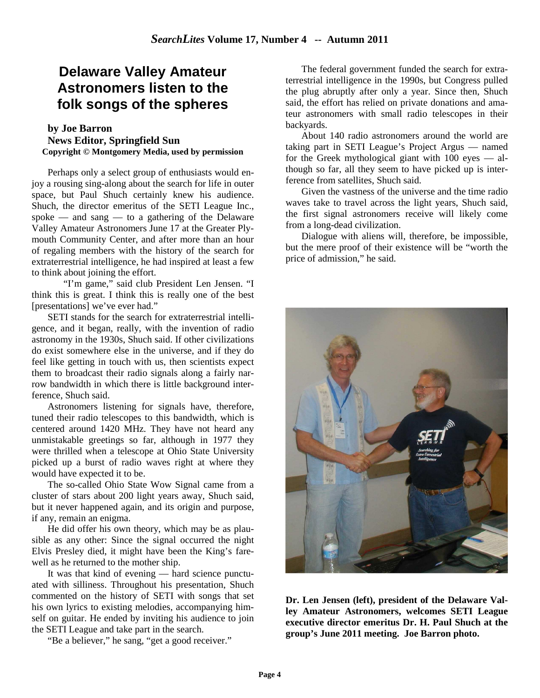### **Delaware Valley Amateur Astronomers listen to the folk songs of the spheres**

#### **by Joe Barron News Editor, Springfield Sun Copyright © Montgomery Media, used by permission**

Perhaps only a select group of enthusiasts would enjoy a rousing sing-along about the search for life in outer space, but Paul Shuch certainly knew his audience. Shuch, the director emeritus of the SETI League Inc., spoke — and sang — to a gathering of the Delaware Valley Amateur Astronomers June 17 at the Greater Plymouth Community Center, and after more than an hour of regaling members with the history of the search for extraterrestrial intelligence, he had inspired at least a few to think about joining the effort.

 "I'm game," said club President Len Jensen. "I think this is great. I think this is really one of the best [presentations] we've ever had."

SETI stands for the search for extraterrestrial intelligence, and it began, really, with the invention of radio astronomy in the 1930s, Shuch said. If other civilizations do exist somewhere else in the universe, and if they do feel like getting in touch with us, then scientists expect them to broadcast their radio signals along a fairly narrow bandwidth in which there is little background interference, Shuch said.

Astronomers listening for signals have, therefore, tuned their radio telescopes to this bandwidth, which is centered around 1420 MHz. They have not heard any unmistakable greetings so far, although in 1977 they were thrilled when a telescope at Ohio State University picked up a burst of radio waves right at where they would have expected it to be.

The so-called Ohio State Wow Signal came from a cluster of stars about 200 light years away, Shuch said, but it never happened again, and its origin and purpose, if any, remain an enigma.

He did offer his own theory, which may be as plausible as any other: Since the signal occurred the night Elvis Presley died, it might have been the King's farewell as he returned to the mother ship.

It was that kind of evening — hard science punctuated with silliness. Throughout his presentation, Shuch commented on the history of SETI with songs that set his own lyrics to existing melodies, accompanying himself on guitar. He ended by inviting his audience to join the SETI League and take part in the search.

"Be a believer," he sang, "get a good receiver."

The federal government funded the search for extraterrestrial intelligence in the 1990s, but Congress pulled the plug abruptly after only a year. Since then, Shuch said, the effort has relied on private donations and amateur astronomers with small radio telescopes in their backyards.

About 140 radio astronomers around the world are taking part in SETI League's Project Argus — named for the Greek mythological giant with 100 eyes — although so far, all they seem to have picked up is interference from satellites, Shuch said.

Given the vastness of the universe and the time radio waves take to travel across the light years, Shuch said, the first signal astronomers receive will likely come from a long-dead civilization.

Dialogue with aliens will, therefore, be impossible, but the mere proof of their existence will be "worth the price of admission," he said.



**Dr. Len Jensen (left), president of the Delaware Valley Amateur Astronomers, welcomes SETI League executive director emeritus Dr. H. Paul Shuch at the group's June 2011 meeting. Joe Barron photo.**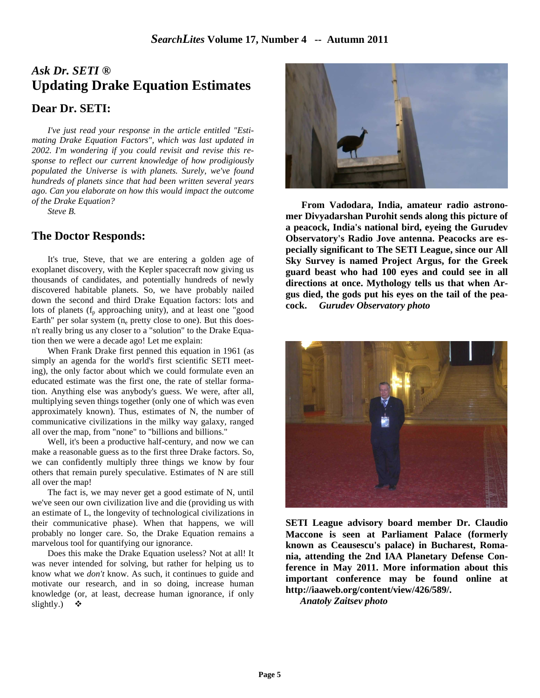# *Ask Dr. SETI ®*  **Updating Drake Equation Estimates Dear Dr. SETI:**

 *I've just read your response in the article entitled "Estimating Drake Equation Factors", which was last updated in 2002. I'm wondering if you could revisit and revise this response to reflect our current knowledge of how prodigiously populated the Universe is with planets. Surely, we've found hundreds of planets since that had been written several years ago. Can you elaborate on how this would impact the outcome of the Drake Equation?* 

 *Steve B.* 

### **The Doctor Responds:**

 It's true, Steve, that we are entering a golden age of exoplanet discovery, with the Kepler spacecraft now giving us thousands of candidates, and potentially hundreds of newly discovered habitable planets. So, we have probably nailed down the second and third Drake Equation factors: lots and lots of planets  $(f_p$  approaching unity), and at least one "good Earth" per solar system  $(n_e$  pretty close to one). But this doesn't really bring us any closer to a "solution" to the Drake Equation then we were a decade ago! Let me explain:

 When Frank Drake first penned this equation in 1961 (as simply an agenda for the world's first scientific SETI meeting), the only factor about which we could formulate even an educated estimate was the first one, the rate of stellar formation. Anything else was anybody's guess. We were, after all, multiplying seven things together (only one of which was even approximately known). Thus, estimates of N, the number of communicative civilizations in the milky way galaxy, ranged all over the map, from "none" to "billions and billions."

 Well, it's been a productive half-century, and now we can make a reasonable guess as to the first three Drake factors. So, we can confidently multiply three things we know by four others that remain purely speculative. Estimates of N are still all over the map!

 The fact is, we may never get a good estimate of N, until we've seen our own civilization live and die (providing us with an estimate of L, the longevity of technological civilizations in their communicative phase). When that happens, we will probably no longer care. So, the Drake Equation remains a marvelous tool for quantifying our ignorance.

 Does this make the Drake Equation useless? Not at all! It was never intended for solving, but rather for helping us to know what we *don't* know. As such, it continues to guide and motivate our research, and in so doing, increase human knowledge (or, at least, decrease human ignorance, if only slightly.)



**From Vadodara, India, amateur radio astronomer Divyadarshan Purohit sends along this picture of a peacock, India's national bird, eyeing the Gurudev Observatory's Radio Jove antenna. Peacocks are especially significant to The SETI League, since our All Sky Survey is named Project Argus, for the Greek guard beast who had 100 eyes and could see in all directions at once. Mythology tells us that when Argus died, the gods put his eyes on the tail of the peacock.** *Gurudev Observatory photo*



**SETI League advisory board member Dr. Claudio Maccone is seen at Parliament Palace (formerly known as Ceausescu's palace) in Bucharest, Romania, attending the 2nd IAA Planetary Defense Conference in May 2011. More information about this important conference may be found online at http://iaaweb.org/content/view/426/589/.** 

*Anatoly Zaitsev photo*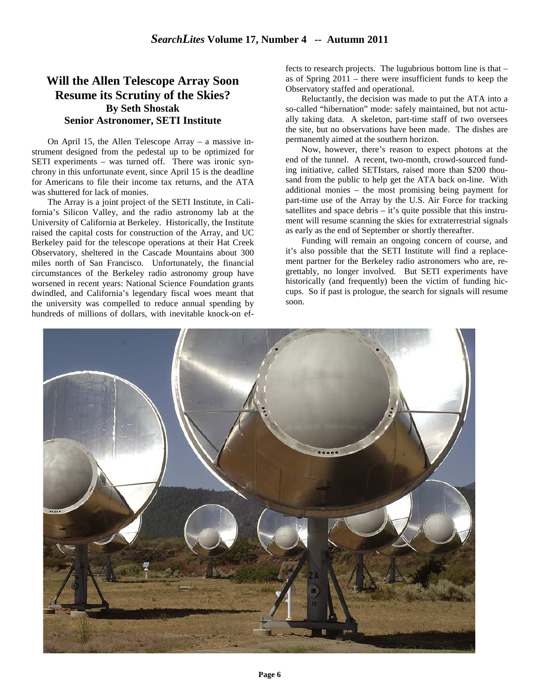### **Will the Allen Telescope Array Soon Resume its Scrutiny of the Skies? By Seth Shostak Senior Astronomer, SETI Institute**

On April 15, the Allen Telescope Array – a massive instrument designed from the pedestal up to be optimized for SETI experiments – was turned off. There was ironic synchrony in this unfortunate event, since April 15 is the deadline for Americans to file their income tax returns, and the ATA was shuttered for lack of monies.

The Array is a joint project of the SETI Institute, in California's Silicon Valley, and the radio astronomy lab at the University of California at Berkeley. Historically, the Institute raised the capital costs for construction of the Array, and UC Berkeley paid for the telescope operations at their Hat Creek Observatory, sheltered in the Cascade Mountains about 300 miles north of San Francisco. Unfortunately, the financial circumstances of the Berkeley radio astronomy group have worsened in recent years: National Science Foundation grants dwindled, and California's legendary fiscal woes meant that the university was compelled to reduce annual spending by hundreds of millions of dollars, with inevitable knock-on effects to research projects. The lugubrious bottom line is that – as of Spring 2011 – there were insufficient funds to keep the Observatory staffed and operational.

Reluctantly, the decision was made to put the ATA into a so-called "hibernation" mode: safely maintained, but not actually taking data. A skeleton, part-time staff of two oversees the site, but no observations have been made. The dishes are permanently aimed at the southern horizon.

Now, however, there's reason to expect photons at the end of the tunnel. A recent, two-month, crowd-sourced funding initiative, called SETIstars, raised more than \$200 thousand from the public to help get the ATA back on-line. With additional monies – the most promising being payment for part-time use of the Array by the U.S. Air Force for tracking satellites and space debris – it's quite possible that this instrument will resume scanning the skies for extraterrestrial signals as early as the end of September or shortly thereafter.

Funding will remain an ongoing concern of course, and it's also possible that the SETI Institute will find a replacement partner for the Berkeley radio astronomers who are, regrettably, no longer involved. But SETI experiments have historically (and frequently) been the victim of funding hiccups. So if past is prologue, the search for signals will resume soon.

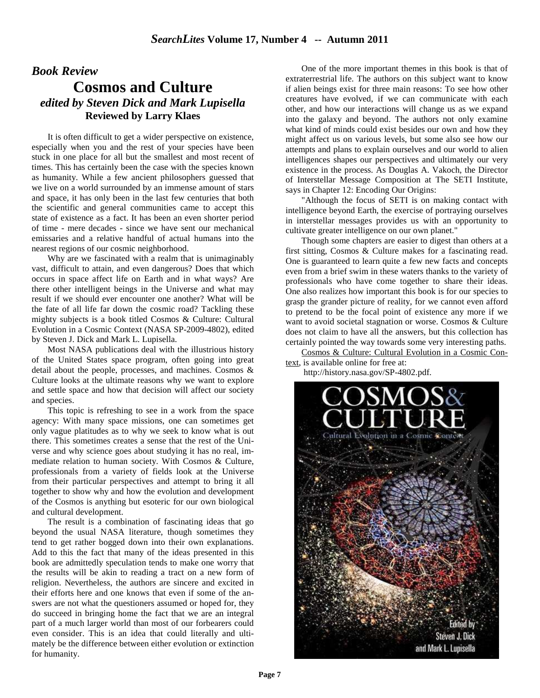### *Book Review*  **Cosmos and Culture** *edited by Steven Dick and Mark Lupisella* **Reviewed by Larry Klaes**

It is often difficult to get a wider perspective on existence, especially when you and the rest of your species have been stuck in one place for all but the smallest and most recent of times. This has certainly been the case with the species known as humanity. While a few ancient philosophers guessed that we live on a world surrounded by an immense amount of stars and space, it has only been in the last few centuries that both the scientific and general communities came to accept this state of existence as a fact. It has been an even shorter period of time - mere decades - since we have sent our mechanical emissaries and a relative handful of actual humans into the nearest regions of our cosmic neighborhood.

Why are we fascinated with a realm that is unimaginably vast, difficult to attain, and even dangerous? Does that which occurs in space affect life on Earth and in what ways? Are there other intelligent beings in the Universe and what may result if we should ever encounter one another? What will be the fate of all life far down the cosmic road? Tackling these mighty subjects is a book titled Cosmos & Culture: Cultural Evolution in a Cosmic Context (NASA SP-2009-4802), edited by Steven J. Dick and Mark L. Lupisella.

Most NASA publications deal with the illustrious history of the United States space program, often going into great detail about the people, processes, and machines. Cosmos & Culture looks at the ultimate reasons why we want to explore and settle space and how that decision will affect our society and species.

This topic is refreshing to see in a work from the space agency: With many space missions, one can sometimes get only vague platitudes as to why we seek to know what is out there. This sometimes creates a sense that the rest of the Universe and why science goes about studying it has no real, immediate relation to human society. With Cosmos & Culture, professionals from a variety of fields look at the Universe from their particular perspectives and attempt to bring it all together to show why and how the evolution and development of the Cosmos is anything but esoteric for our own biological and cultural development.

The result is a combination of fascinating ideas that go beyond the usual NASA literature, though sometimes they tend to get rather bogged down into their own explanations. Add to this the fact that many of the ideas presented in this book are admittedly speculation tends to make one worry that the results will be akin to reading a tract on a new form of religion. Nevertheless, the authors are sincere and excited in their efforts here and one knows that even if some of the answers are not what the questioners assumed or hoped for, they do succeed in bringing home the fact that we are an integral part of a much larger world than most of our forbearers could even consider. This is an idea that could literally and ultimately be the difference between either evolution or extinction for humanity.

One of the more important themes in this book is that of extraterrestrial life. The authors on this subject want to know if alien beings exist for three main reasons: To see how other creatures have evolved, if we can communicate with each other, and how our interactions will change us as we expand into the galaxy and beyond. The authors not only examine what kind of minds could exist besides our own and how they might affect us on various levels, but some also see how our attempts and plans to explain ourselves and our world to alien intelligences shapes our perspectives and ultimately our very existence in the process. As Douglas A. Vakoch, the Director of Interstellar Message Composition at The SETI Institute, says in Chapter 12: Encoding Our Origins:

"Although the focus of SETI is on making contact with intelligence beyond Earth, the exercise of portraying ourselves in interstellar messages provides us with an opportunity to cultivate greater intelligence on our own planet."

Though some chapters are easier to digest than others at a first sitting, Cosmos & Culture makes for a fascinating read. One is guaranteed to learn quite a few new facts and concepts even from a brief swim in these waters thanks to the variety of professionals who have come together to share their ideas. One also realizes how important this book is for our species to grasp the grander picture of reality, for we cannot even afford to pretend to be the focal point of existence any more if we want to avoid societal stagnation or worse. Cosmos & Culture does not claim to have all the answers, but this collection has certainly pointed the way towards some very interesting paths.

Cosmos & Culture: Cultural Evolution in a Cosmic Context, is available online for free at:

http://history.nasa.gov/SP-4802.pdf.